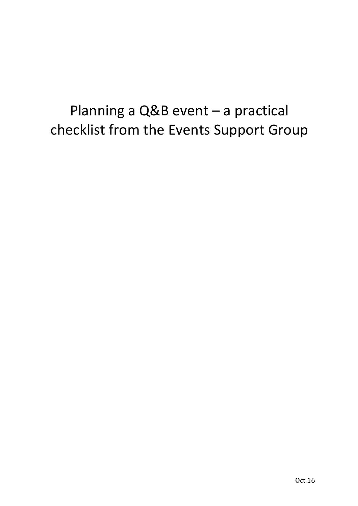# Planning a  $Q\&B$  event  $-$  a practical checklist from the Events Support Group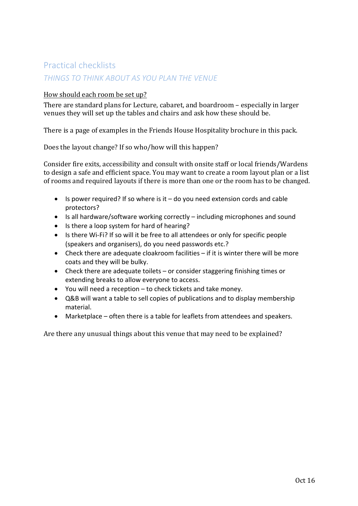### Practical checklists

#### *THINGS TO THINK ABOUT AS YOU PLAN THE VENUE*

#### How should each room be set up?

There are standard plans for Lecture, cabaret, and boardroom - especially in larger venues they will set up the tables and chairs and ask how these should be.

There is a page of examples in the Friends House Hospitality brochure in this pack.

Does the layout change? If so who/how will this happen?

Consider fire exits, accessibility and consult with onsite staff or local friends/Wardens to design a safe and efficient space. You may want to create a room layout plan or a list of rooms and required layouts if there is more than one or the room has to be changed.

- Is power required? If so where is it  $-$  do you need extension cords and cable protectors?
- Is all hardware/software working correctly  $-$  including microphones and sound
- Is there a loop system for hard of hearing?
- Is there Wi-Fi? If so will it be free to all attendees or only for specific people (speakers and organisers), do you need passwords etc.?
- Check there are adequate cloakroom facilities  $-$  if it is winter there will be more coats and they will be bulky.
- Check there are adequate toilets  $-$  or consider staggering finishing times or extending breaks to allow everyone to access.
- You will need a reception  $-$  to check tickets and take money.
- Q&B will want a table to sell copies of publications and to display membership material.
- $\bullet$  Marketplace often there is a table for leaflets from attendees and speakers.

Are there any unusual things about this venue that may need to be explained?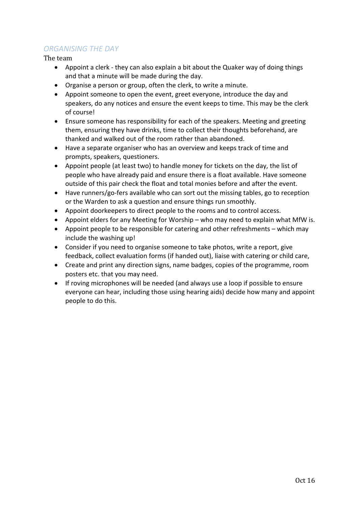#### *ORGANISING THE DAY*

The team

- Appoint a clerk they can also explain a bit about the Quaker way of doing things and that a minute will be made during the day.
- Organise a person or group, often the clerk, to write a minute.
- Appoint someone to open the event, greet everyone, introduce the day and speakers, do any notices and ensure the event keeps to time. This may be the clerk of course!
- Ensure someone has responsibility for each of the speakers. Meeting and greeting them, ensuring they have drinks, time to collect their thoughts beforehand, are thanked and walked out of the room rather than abandoned.
- Have a separate organiser who has an overview and keeps track of time and prompts, speakers, questioners.
- Appoint people (at least two) to handle money for tickets on the day, the list of people who have already paid and ensure there is a float available. Have someone outside of this pair check the float and total monies before and after the event.
- Have runners/go-fers available who can sort out the missing tables, go to reception or the Warden to ask a question and ensure things run smoothly.
- Appoint doorkeepers to direct people to the rooms and to control access.
- Appoint elders for any Meeting for Worship who may need to explain what MfW is.
- Appoint people to be responsible for catering and other refreshments which may include the washing up!
- Consider if you need to organise someone to take photos, write a report, give feedback, collect evaluation forms (if handed out), liaise with catering or child care,
- Create and print any direction signs, name badges, copies of the programme, room posters etc. that you may need.
- $\bullet$  If roving microphones will be needed (and always use a loop if possible to ensure everyone can hear, including those using hearing aids) decide how many and appoint people to do this.